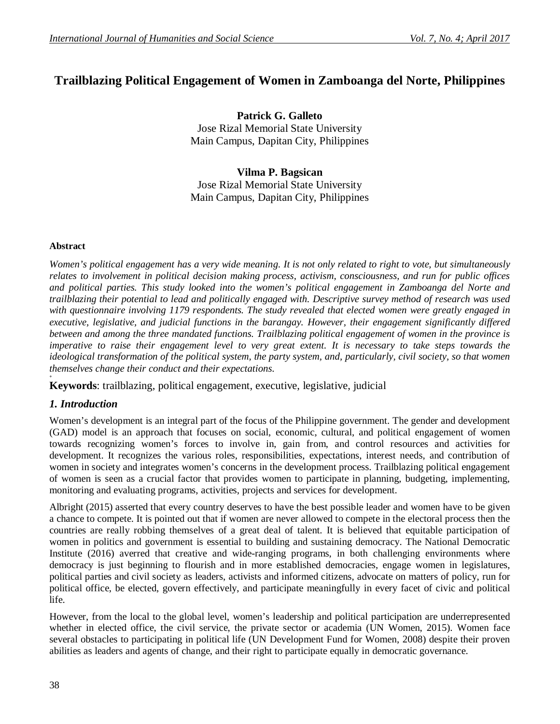# **Trailblazing Political Engagement of Women in Zamboanga del Norte, Philippines**

**Patrick G. Galleto** Jose Rizal Memorial State University Main Campus, Dapitan City, Philippines

**Vilma P. Bagsican** Jose Rizal Memorial State University Main Campus, Dapitan City, Philippines

#### **Abstract**

*Women's political engagement has a very wide meaning. It is not only related to right to vote, but simultaneously relates to involvement in political decision making process, activism, consciousness, and run for public offices and political parties. This study looked into the women's political engagement in Zamboanga del Norte and trailblazing their potential to lead and politically engaged with. Descriptive survey method of research was used with questionnaire involving 1179 respondents. The study revealed that elected women were greatly engaged in executive, legislative, and judicial functions in the barangay. However, their engagement significantly differed between and among the three mandated functions. Trailblazing political engagement of women in the province is imperative to raise their engagement level to very great extent. It is necessary to take steps towards the ideological transformation of the political system, the party system, and, particularly, civil society, so that women themselves change their conduct and their expectations.*

**Keywords**: trailblazing, political engagement, executive, legislative, judicial

## *1. Introduction*

**+**

Women's development is an integral part of the focus of the Philippine government. The gender and development (GAD) model is an approach that focuses on social, economic, cultural, and political engagement of women towards recognizing women's forces to involve in, gain from, and control resources and activities for development. It recognizes the various roles, responsibilities, expectations, interest needs, and contribution of women in society and integrates women's concerns in the development process. Trailblazing political engagement of women is seen as a crucial factor that provides women to participate in planning, budgeting, implementing, monitoring and evaluating programs, activities, projects and services for development.

Albright (2015) asserted that every country deserves to have the best possible leader and women have to be given a chance to compete. It is pointed out that if women are never allowed to compete in the electoral process then the countries are really robbing themselves of a great deal of talent. It is believed that equitable participation of women in politics and government is essential to building and sustaining democracy. The National Democratic Institute (2016) averred that creative and wide-ranging programs, in both challenging environments where democracy is just beginning to flourish and in more established democracies, engage women in legislatures, political parties and civil society as leaders, activists and informed citizens, advocate on matters of policy, run for political office, be elected, govern effectively, and participate meaningfully in every facet of civic and political life.

However, from the local to the global level, women's leadership and political participation are underrepresented whether in elected office, the civil service, the private sector or academia (UN Women, 2015). Women face several obstacles to participating in political life (UN Development Fund for Women, 2008) despite their proven abilities as leaders and agents of change, and their right to participate equally in democratic governance.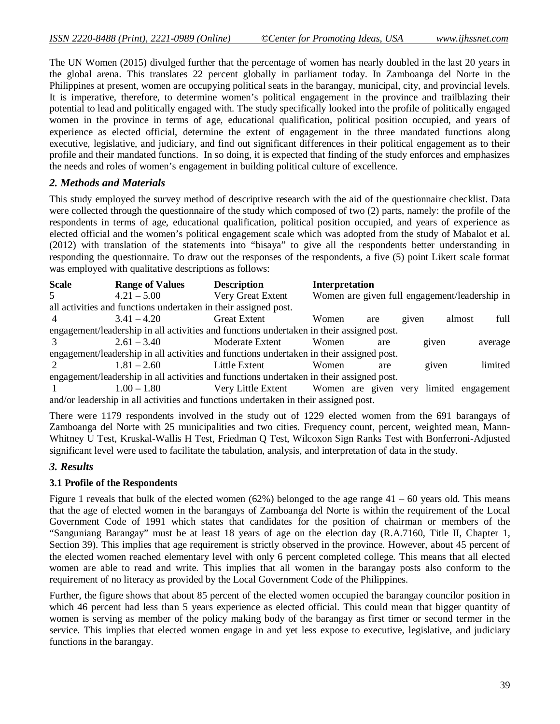The UN Women (2015) divulged further that the percentage of women has nearly doubled in the last 20 years in the global arena. This translates 22 percent globally in parliament today. In Zamboanga del Norte in the Philippines at present, women are occupying political seats in the barangay, municipal, city, and provincial levels. It is imperative, therefore, to determine women's political engagement in the province and trailblazing their potential to lead and politically engaged with. The study specifically looked into the profile of politically engaged women in the province in terms of age, educational qualification, political position occupied, and years of experience as elected official, determine the extent of engagement in the three mandated functions along executive, legislative, and judiciary, and find out significant differences in their political engagement as to their profile and their mandated functions. In so doing, it is expected that finding of the study enforces and emphasizes the needs and roles of women's engagement in building political culture of excellence.

## *2. Methods and Materials*

This study employed the survey method of descriptive research with the aid of the questionnaire checklist. Data were collected through the questionnaire of the study which composed of two (2) parts, namely: the profile of the respondents in terms of age, educational qualification, political position occupied, and years of experience as elected official and the women's political engagement scale which was adopted from the study of Mabalot et al. (2012) with translation of the statements into "bisaya" to give all the respondents better understanding in responding the questionnaire. To draw out the responses of the respondents, a five (5) point Likert scale format was employed with qualitative descriptions as follows:

| <b>Scale</b>   | <b>Range of Values</b>                                                                   | <b>Description</b>                                                                       | Interpretation |     |       |                                               |         |  |  |
|----------------|------------------------------------------------------------------------------------------|------------------------------------------------------------------------------------------|----------------|-----|-------|-----------------------------------------------|---------|--|--|
| 5              | $4.21 - 5.00$                                                                            | Very Great Extent                                                                        |                |     |       | Women are given full engagement/leadership in |         |  |  |
|                | all activities and functions undertaken in their assigned post.                          |                                                                                          |                |     |       |                                               |         |  |  |
| $\overline{4}$ | $3.41 - 4.20$                                                                            | <b>Great Extent</b>                                                                      | Women          | are | given | almost                                        | full    |  |  |
|                | engagement/leadership in all activities and functions undertaken in their assigned post. |                                                                                          |                |     |       |                                               |         |  |  |
|                | $2.61 - 3.40$                                                                            | Moderate Extent                                                                          | Women          | are |       | given                                         | average |  |  |
|                |                                                                                          | engagement/leadership in all activities and functions undertaken in their assigned post. |                |     |       |                                               |         |  |  |
| $\mathcal{L}$  | $1.81 - 2.60$                                                                            | Little Extent                                                                            | <b>Women</b>   | are |       | given                                         | limited |  |  |
|                |                                                                                          | engagement/leadership in all activities and functions undertaken in their assigned post. |                |     |       |                                               |         |  |  |
|                | $1.00 - 1.80$                                                                            | Very Little Extent Women are given very                                                  |                |     |       | limited engagement                            |         |  |  |
|                | and/or leadership in all activities and functions undertaken in their assigned post.     |                                                                                          |                |     |       |                                               |         |  |  |

There were 1179 respondents involved in the study out of 1229 elected women from the 691 barangays of Zamboanga del Norte with 25 municipalities and two cities. Frequency count, percent, weighted mean, Mann-Whitney U Test, Kruskal-Wallis H Test, Friedman Q Test, Wilcoxon Sign Ranks Test with Bonferroni-Adjusted significant level were used to facilitate the tabulation, analysis, and interpretation of data in the study.

## *3. Results*

## **3.1 Profile of the Respondents**

Figure 1 reveals that bulk of the elected women (62%) belonged to the age range  $41 - 60$  years old. This means that the age of elected women in the barangays of Zamboanga del Norte is within the requirement of the Local Government Code of 1991 which states that candidates for the position of chairman or members of the "Sanguniang Barangay" must be at least 18 years of age on the election day (R.A.7160, Title II, Chapter 1, Section 39). This implies that age requirement is strictly observed in the province. However, about 45 percent of the elected women reached elementary level with only 6 percent completed college. This means that all elected women are able to read and write. This implies that all women in the barangay posts also conform to the requirement of no literacy as provided by the Local Government Code of the Philippines.

Further, the figure shows that about 85 percent of the elected women occupied the barangay councilor position in which 46 percent had less than 5 years experience as elected official. This could mean that bigger quantity of women is serving as member of the policy making body of the barangay as first timer or second termer in the service. This implies that elected women engage in and yet less expose to executive, legislative, and judiciary functions in the barangay.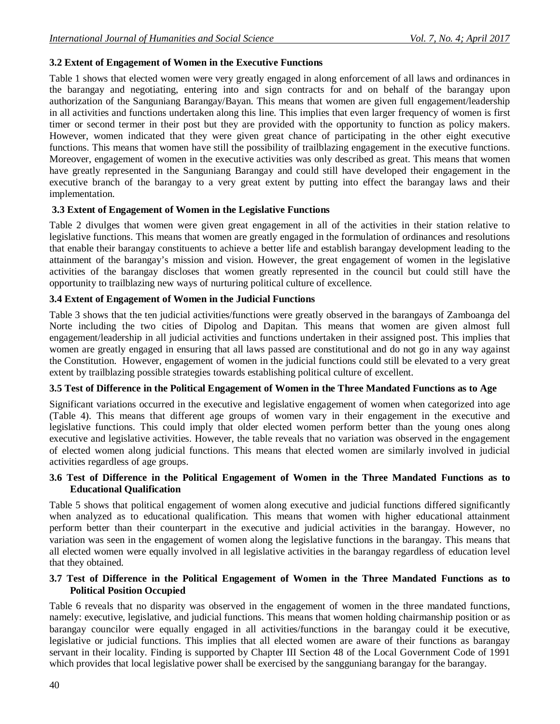## **3.2 Extent of Engagement of Women in the Executive Functions**

Table 1 shows that elected women were very greatly engaged in along enforcement of all laws and ordinances in the barangay and negotiating, entering into and sign contracts for and on behalf of the barangay upon authorization of the Sanguniang Barangay/Bayan. This means that women are given full engagement/leadership in all activities and functions undertaken along this line. This implies that even larger frequency of women is first timer or second termer in their post but they are provided with the opportunity to function as policy makers. However, women indicated that they were given great chance of participating in the other eight executive functions. This means that women have still the possibility of trailblazing engagement in the executive functions. Moreover, engagement of women in the executive activities was only described as great. This means that women have greatly represented in the Sanguniang Barangay and could still have developed their engagement in the executive branch of the barangay to a very great extent by putting into effect the barangay laws and their implementation.

## **3.3 Extent of Engagement of Women in the Legislative Functions**

Table 2 divulges that women were given great engagement in all of the activities in their station relative to legislative functions. This means that women are greatly engaged in the formulation of ordinances and resolutions that enable their barangay constituents to achieve a better life and establish barangay development leading to the attainment of the barangay's mission and vision. However, the great engagement of women in the legislative activities of the barangay discloses that women greatly represented in the council but could still have the opportunity to trailblazing new ways of nurturing political culture of excellence.

## **3.4 Extent of Engagement of Women in the Judicial Functions**

Table 3 shows that the ten judicial activities/functions were greatly observed in the barangays of Zamboanga del Norte including the two cities of Dipolog and Dapitan. This means that women are given almost full engagement/leadership in all judicial activities and functions undertaken in their assigned post. This implies that women are greatly engaged in ensuring that all laws passed are constitutional and do not go in any way against the Constitution. However, engagement of women in the judicial functions could still be elevated to a very great extent by trailblazing possible strategies towards establishing political culture of excellent.

#### **3.5 Test of Difference in the Political Engagement of Women in the Three Mandated Functions as to Age**

Significant variations occurred in the executive and legislative engagement of women when categorized into age (Table 4). This means that different age groups of women vary in their engagement in the executive and legislative functions. This could imply that older elected women perform better than the young ones along executive and legislative activities. However, the table reveals that no variation was observed in the engagement of elected women along judicial functions. This means that elected women are similarly involved in judicial activities regardless of age groups.

#### **3.6 Test of Difference in the Political Engagement of Women in the Three Mandated Functions as to Educational Qualification**

Table 5 shows that political engagement of women along executive and judicial functions differed significantly when analyzed as to educational qualification. This means that women with higher educational attainment perform better than their counterpart in the executive and judicial activities in the barangay. However, no variation was seen in the engagement of women along the legislative functions in the barangay. This means that all elected women were equally involved in all legislative activities in the barangay regardless of education level that they obtained.

#### **3.7 Test of Difference in the Political Engagement of Women in the Three Mandated Functions as to Political Position Occupied**

Table 6 reveals that no disparity was observed in the engagement of women in the three mandated functions, namely: executive, legislative, and judicial functions. This means that women holding chairmanship position or as barangay councilor were equally engaged in all activities/functions in the barangay could it be executive, legislative or judicial functions. This implies that all elected women are aware of their functions as barangay servant in their locality. Finding is supported by Chapter III Section 48 of the Local Government Code of 1991 which provides that local legislative power shall be exercised by the sangguniang barangay for the barangay.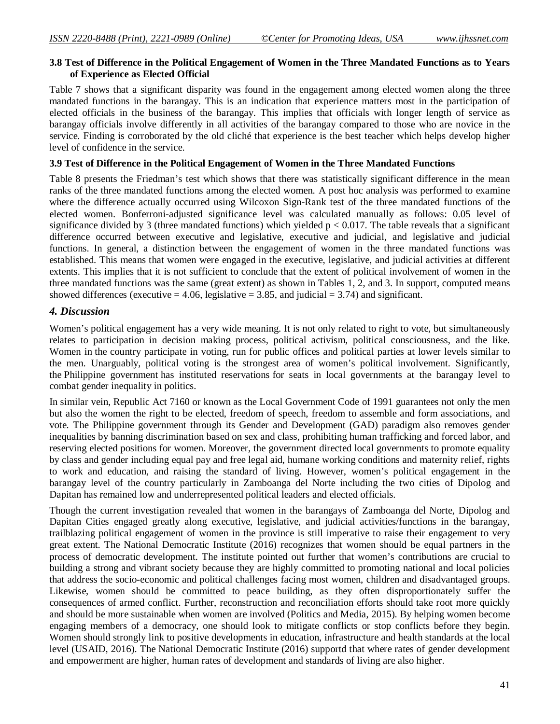#### **3.8 Test of Difference in the Political Engagement of Women in the Three Mandated Functions as to Years of Experience as Elected Official**

Table 7 shows that a significant disparity was found in the engagement among elected women along the three mandated functions in the barangay. This is an indication that experience matters most in the participation of elected officials in the business of the barangay. This implies that officials with longer length of service as barangay officials involve differently in all activities of the barangay compared to those who are novice in the service. Finding is corroborated by the old cliché that experience is the best teacher which helps develop higher level of confidence in the service.

#### **3.9 Test of Difference in the Political Engagement of Women in the Three Mandated Functions**

Table 8 presents the Friedman's test which shows that there was statistically significant difference in the mean ranks of the three mandated functions among the elected women. A post hoc analysis was performed to examine where the difference actually occurred using Wilcoxon Sign-Rank test of the three mandated functions of the elected women. Bonferroni-adjusted significance level was calculated manually as follows: 0.05 level of significance divided by 3 (three mandated functions) which yielded  $p < 0.017$ . The table reveals that a significant difference occurred between executive and legislative, executive and judicial, and legislative and judicial functions. In general, a distinction between the engagement of women in the three mandated functions was established. This means that women were engaged in the executive, legislative, and judicial activities at different extents. This implies that it is not sufficient to conclude that the extent of political involvement of women in the three mandated functions was the same (great extent) as shown in Tables 1, 2, and 3. In support, computed means showed differences (executive  $= 4.06$ , legislative  $= 3.85$ , and judicial  $= 3.74$ ) and significant.

#### *4. Discussion*

Women's political engagement has a very wide meaning. It is not only related to right to vote, but simultaneously relates to participation in decision making process, political activism, political consciousness, and the like. Women in the country participate in voting, run for public offices and political parties at lower levels similar to the men. Unarguably, political voting is the strongest area of women's political involvement. Significantly, the Philippine government has instituted reservations for seats in local governments at the barangay level to combat gender inequality in politics.

In similar vein, Republic Act 7160 or known as the Local Government Code of 1991 guarantees not only the men but also the women the right to be elected, freedom of speech, freedom to assemble and form associations, and vote. The Philippine government through its Gender and Development (GAD) paradigm also removes gender inequalities by banning discrimination based on sex and class, prohibiting human trafficking and forced labor, and reserving elected positions for women. Moreover, the government directed local governments to promote equality by class and gender including equal pay and free legal aid, humane working conditions and maternity relief, rights to work and education, and raising the standard of living. However, women's political engagement in the barangay level of the country particularly in Zamboanga del Norte including the two cities of Dipolog and Dapitan has remained low and underrepresented political leaders and elected officials.

Though the current investigation revealed that women in the barangays of Zamboanga del Norte, Dipolog and Dapitan Cities engaged greatly along executive, legislative, and judicial activities/functions in the barangay, trailblazing political engagement of women in the province is still imperative to raise their engagement to very great extent. The National Democratic Institute (2016) recognizes that women should be equal partners in the process of democratic development. The institute pointed out further that women's contributions are crucial to building a strong and vibrant society because they are highly committed to promoting national and local policies that address the socio-economic and political challenges facing most women, children and disadvantaged groups. Likewise, women should be committed to peace building, as they often disproportionately suffer the consequences of armed conflict. Further, reconstruction and reconciliation efforts should take root more quickly and should be more sustainable when women are involved (Politics and Media, 2015). By helping women become engaging members of a democracy, one should look to mitigate conflicts or stop conflicts before they begin. Women should strongly link to positive developments in education, infrastructure and health standards at the local level (USAID, 2016). The National Democratic Institute (2016) supportd that where rates of gender development and empowerment are higher, human rates of development and standards of living are also higher.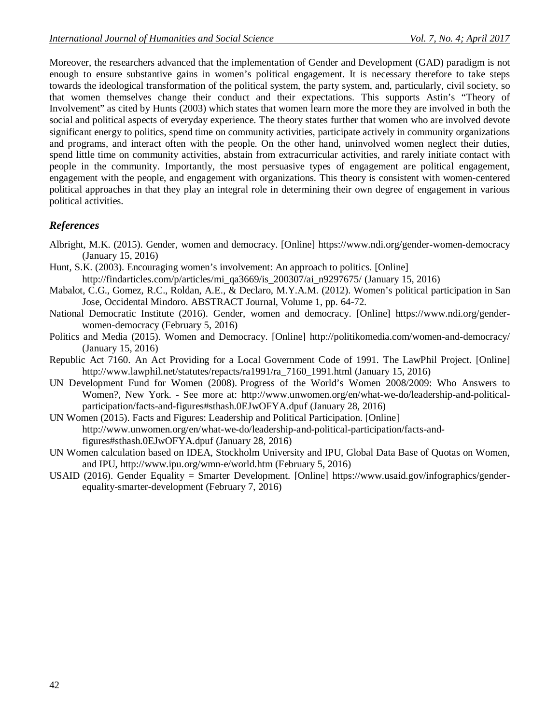Moreover, the researchers advanced that the implementation of Gender and Development (GAD) paradigm is not enough to ensure substantive gains in women's political engagement. It is necessary therefore to take steps towards the ideological transformation of the political system, the party system, and, particularly, civil society, so that women themselves change their conduct and their expectations. This supports Astin's "Theory of Involvement" as cited by Hunts (2003) which states that women learn more the more they are involved in both the social and political aspects of everyday experience. The theory states further that women who are involved devote significant energy to politics, spend time on community activities, participate actively in community organizations and programs, and interact often with the people. On the other hand, uninvolved women neglect their duties, spend little time on community activities, abstain from extracurricular activities, and rarely initiate contact with people in the community. Importantly, the most persuasive types of engagement are political engagement, engagement with the people, and engagement with organizations. This theory is consistent with women-centered political approaches in that they play an integral role in determining their own degree of engagement in various political activities.

## *References*

- Albright, M.K. (2015). Gender, women and democracy. [Online] https://www.ndi.org/gender-women-democracy (January 15, 2016)
- Hunt, S.K. (2003). Encouraging women's involvement: An approach to politics. [Online] http://findarticles.com/p/articles/mi\_qa3669/is\_200307/ai\_n9297675/ (January 15, 2016)
- Mabalot, C.G., Gomez, R.C., Roldan, A.E., & Declaro, M.Y.A.M. (2012). Women's political participation in San Jose, Occidental Mindoro. ABSTRACT Journal, Volume 1, pp. 64-72.
- National Democratic Institute (2016). Gender, women and democracy. [Online] https://www.ndi.org/genderwomen-democracy (February 5, 2016)
- Politics and Media (2015). Women and Democracy. [Online] http://politikomedia.com/women-and-democracy/ (January 15, 2016)
- Republic Act 7160. An Act Providing for a Local Government Code of 1991. The LawPhil Project. [Online] http://www.lawphil.net/statutes/repacts/ra1991/ra\_7160\_1991.html (January 15, 2016)
- UN Development Fund for Women (2008). Progress of the World's Women 2008/2009: Who Answers to Women?, New York. - See more at: http://www.unwomen.org/en/what-we-do/leadership-and-politicalparticipation/facts-and-figures#sthash.0EJwOFYA.dpuf (January 28, 2016)
- UN Women (2015). Facts and Figures: Leadership and Political Participation. [Online] http://www.unwomen.org/en/what-we-do/leadership-and-political-participation/facts-andfigures#sthash.0EJwOFYA.dpuf (January 28, 2016)
- UN Women calculation based on IDEA, Stockholm University and IPU, Global Data Base of Quotas on Women, and IPU, http://www.ipu.org/wmn-e/world.htm (February 5, 2016)
- USAID (2016). Gender Equality = Smarter Development. [Online] https://www.usaid.gov/infographics/genderequality-smarter-development (February 7, 2016)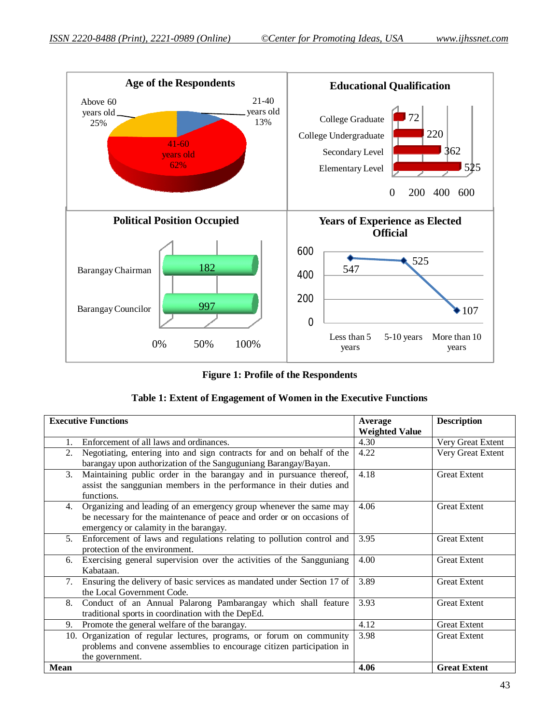

#### **Figure 1: Profile of the Respondents**

|  |  | Table 1: Extent of Engagement of Women in the Executive Functions |  |  |  |  |
|--|--|-------------------------------------------------------------------|--|--|--|--|
|--|--|-------------------------------------------------------------------|--|--|--|--|

| <b>Executive Functions</b>                                                                                                                                                                   | Average<br><b>Weighted Value</b> | <b>Description</b>  |
|----------------------------------------------------------------------------------------------------------------------------------------------------------------------------------------------|----------------------------------|---------------------|
| Enforcement of all laws and ordinances.<br>$1_{-}$                                                                                                                                           | 4.30                             | Very Great Extent   |
| Negotiating, entering into and sign contracts for and on behalf of the<br>2.<br>barangay upon authorization of the Sanguguniang Barangay/Bayan.                                              | 4.22                             | Very Great Extent   |
| Maintaining public order in the barangay and in pursuance thereof,<br>3.<br>assist the sanggunian members in the performance in their duties and<br>functions.                               | 4.18                             | <b>Great Extent</b> |
| Organizing and leading of an emergency group whenever the same may<br>4.<br>be necessary for the maintenance of peace and order or on occasions of<br>emergency or calamity in the barangay. | 4.06                             | <b>Great Extent</b> |
| Enforcement of laws and regulations relating to pollution control and<br>5 <sub>1</sub><br>protection of the environment.                                                                    | 3.95                             | <b>Great Extent</b> |
| Exercising general supervision over the activities of the Sangguniang<br>6.<br>Kabataan.                                                                                                     | 4.00                             | <b>Great Extent</b> |
| Ensuring the delivery of basic services as mandated under Section 17 of<br>7.<br>the Local Government Code.                                                                                  | 3.89                             | <b>Great Extent</b> |
| Conduct of an Annual Palarong Pambarangay which shall feature<br>8.<br>traditional sports in coordination with the DepEd.                                                                    | 3.93                             | <b>Great Extent</b> |
| Promote the general welfare of the barangay.<br>9.                                                                                                                                           | 4.12                             | <b>Great Extent</b> |
| 10. Organization of regular lectures, programs, or forum on community<br>problems and convene assemblies to encourage citizen participation in<br>the government.                            | 3.98                             | <b>Great Extent</b> |
| <b>Mean</b>                                                                                                                                                                                  | 4.06                             | <b>Great Extent</b> |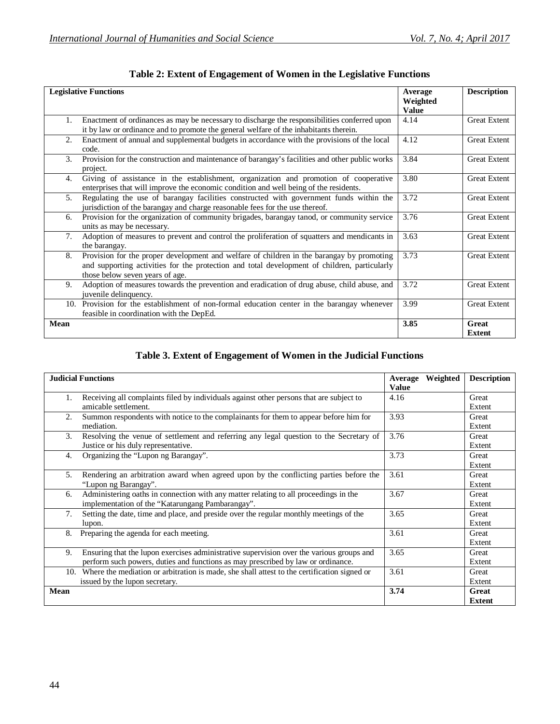| <b>Legislative Functions</b>             |                                                                                                                                                                                       | Average<br>Weighted<br><b>Value</b> | <b>Description</b>     |
|------------------------------------------|---------------------------------------------------------------------------------------------------------------------------------------------------------------------------------------|-------------------------------------|------------------------|
|                                          | Enactment of ordinances as may be necessary to discharge the responsibilities conferred upon<br>it by law or ordinance and to promote the general welfare of the inhabitants therein. | 4.14                                | <b>Great Extent</b>    |
|                                          |                                                                                                                                                                                       |                                     |                        |
| 2.<br>code.                              | Enactment of annual and supplemental budgets in accordance with the provisions of the local                                                                                           | 4.12                                | <b>Great Extent</b>    |
| 3.<br>project.                           | Provision for the construction and maintenance of barangay's facilities and other public works                                                                                        | 3.84                                | <b>Great Extent</b>    |
| 4.                                       | Giving of assistance in the establishment, organization and promotion of cooperative                                                                                                  | 3.80                                | <b>Great Extent</b>    |
|                                          | enterprises that will improve the economic condition and well being of the residents.                                                                                                 |                                     |                        |
| 5.                                       | Regulating the use of barangay facilities constructed with government funds within the                                                                                                | 3.72                                | <b>Great Extent</b>    |
|                                          | jurisdiction of the barangay and charge reasonable fees for the use thereof.                                                                                                          |                                     |                        |
| 6.                                       | Provision for the organization of community brigades, barangay tanod, or community service                                                                                            | 3.76                                | <b>Great Extent</b>    |
| units as may be necessary.               |                                                                                                                                                                                       |                                     |                        |
| 7.                                       | Adoption of measures to prevent and control the proliferation of squatters and mendicants in                                                                                          | 3.63                                | <b>Great Extent</b>    |
| the barangay.                            |                                                                                                                                                                                       |                                     |                        |
| 8.                                       | Provision for the proper development and welfare of children in the barangay by promoting                                                                                             | 3.73                                | <b>Great Extent</b>    |
|                                          | and supporting activities for the protection and total development of children, particularly                                                                                          |                                     |                        |
| those below seven years of age.          |                                                                                                                                                                                       |                                     |                        |
| 9.                                       | Adoption of measures towards the prevention and eradication of drug abuse, child abuse, and                                                                                           | 3.72                                | <b>Great Extent</b>    |
| juvenile delinquency.                    |                                                                                                                                                                                       |                                     |                        |
|                                          | 10. Provision for the establishment of non-formal education center in the barangay whenever                                                                                           | 3.99                                | <b>Great Extent</b>    |
| feasible in coordination with the DepEd. |                                                                                                                                                                                       |                                     |                        |
| <b>Mean</b>                              |                                                                                                                                                                                       | 3.85                                | Great<br><b>Extent</b> |

**Table 2: Extent of Engagement of Women in the Legislative Functions**

## **Table 3. Extent of Engagement of Women in the Judicial Functions**

|             | <b>Judicial Functions</b>                                                                                       | Weighted<br>Average<br><b>Value</b> | <b>Description</b> |
|-------------|-----------------------------------------------------------------------------------------------------------------|-------------------------------------|--------------------|
| 1.          | Receiving all complaints filed by individuals against other persons that are subject to<br>amicable settlement. | 4.16                                | Great<br>Extent    |
| 2.          |                                                                                                                 | 3.93                                | Great              |
|             | Summon respondents with notice to the complainants for them to appear before him for<br>mediation.              |                                     | Extent             |
| 3.          | Resolving the venue of settlement and referring any legal question to the Secretary of                          | 3.76                                | Great              |
|             | Justice or his duly representative.                                                                             |                                     | Extent             |
| 4.          | Organizing the "Lupon ng Barangay".                                                                             | 3.73                                | Great              |
|             |                                                                                                                 |                                     | Extent             |
| 5.          | Rendering an arbitration award when agreed upon by the conflicting parties before the                           | 3.61                                | Great              |
|             | "Lupon ng Barangay".                                                                                            |                                     | Extent             |
| 6.          | Administering oaths in connection with any matter relating to all proceedings in the                            | 3.67                                | Great              |
|             | implementation of the "Katarungang Pambarangay".                                                                |                                     | Extent             |
| 7.          | Setting the date, time and place, and preside over the regular monthly meetings of the                          | 3.65                                | Great              |
|             | lupon.                                                                                                          |                                     | Extent             |
| 8.          | Preparing the agenda for each meeting.                                                                          | 3.61                                | Great              |
|             |                                                                                                                 |                                     | Extent             |
| 9.          | Ensuring that the lupon exercises administrative supervision over the various groups and                        | 3.65                                | Great              |
|             | perform such powers, duties and functions as may prescribed by law or ordinance.                                |                                     | Extent             |
|             | 10. Where the mediation or arbitration is made, she shall attest to the certification signed or                 | 3.61                                | Great              |
|             | issued by the lupon secretary.                                                                                  |                                     | Extent             |
| <b>Mean</b> |                                                                                                                 | 3.74                                | Great              |
|             |                                                                                                                 |                                     | <b>Extent</b>      |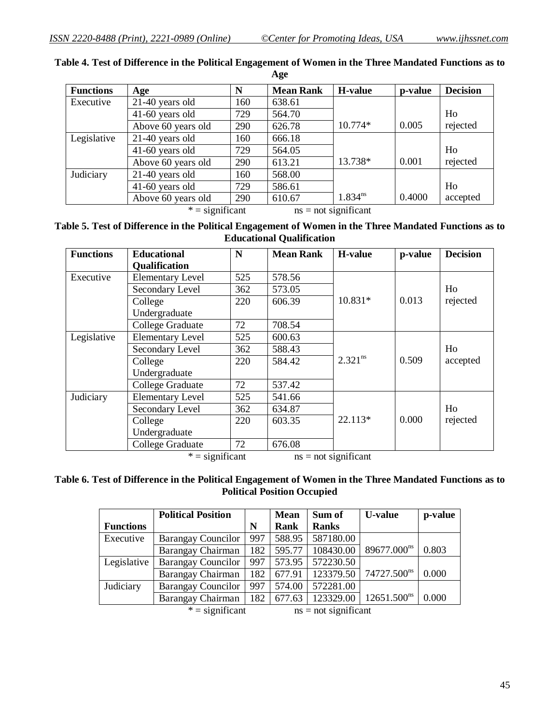| <b>Functions</b> | Age                | N   | <b>Mean Rank</b> | H-value      | p-value | <b>Decision</b> |
|------------------|--------------------|-----|------------------|--------------|---------|-----------------|
| Executive        | $21-40$ years old  | 160 | 638.61           |              |         |                 |
|                  | $41-60$ years old  | 729 | 564.70           |              |         | Ho              |
|                  | Above 60 years old | 290 | 626.78           | 10.774*      | 0.005   | rejected        |
| Legislative      | 21-40 years old    | 160 | 666.18           |              |         |                 |
|                  | $41-60$ years old  | 729 | 564.05           |              |         | Ho              |
|                  | Above 60 years old | 290 | 613.21           | 13.738*      | 0.001   | rejected        |
| Judiciary        | $21-40$ years old  | 160 | 568.00           |              |         |                 |
|                  | $41-60$ years old  | 729 | 586.61           |              |         | Ho              |
|                  | Above 60 years old | 290 | 610.67           | $1.834^{ns}$ | 0.4000  | accepted        |

**Table 4. Test of Difference in the Political Engagement of Women in the Three Mandated Functions as to Age**

 $* =$  significant ns = not significant

**Table 5. Test of Difference in the Political Engagement of Women in the Three Mandated Functions as to Educational Qualification**

| <b>Functions</b> | <b>Educational</b>                       | N   | <b>Mean Rank</b> | H-value               | p-value | <b>Decision</b>            |
|------------------|------------------------------------------|-----|------------------|-----------------------|---------|----------------------------|
|                  | <b>Qualification</b>                     |     |                  |                       |         |                            |
| Executive        | <b>Elementary Level</b>                  | 525 | 578.56           |                       |         |                            |
|                  | Secondary Level                          | 362 | 573.05           |                       |         | Ho                         |
|                  | College                                  | 220 | 606.39           | 10.831*               | 0.013   | rejected                   |
|                  | Undergraduate                            |     |                  |                       |         |                            |
|                  | College Graduate                         | 72  | 708.54           |                       |         |                            |
| Legislative      | <b>Elementary Level</b>                  | 525 | 600.63           |                       |         |                            |
|                  | Secondary Level                          | 362 | 588.43           |                       |         | H <sub>o</sub><br>accepted |
|                  | College                                  | 220 | 584.42           | 2.321 <sup>ns</sup>   | 0.509   |                            |
|                  | Undergraduate                            |     |                  |                       |         |                            |
|                  | College Graduate                         | 72  | 537.42           |                       |         |                            |
| Judiciary        | <b>Elementary Level</b>                  | 525 | 541.66           |                       |         |                            |
|                  | Secondary Level                          | 362 | 634.87           |                       |         | Ho                         |
|                  | College                                  | 220 | 603.35           | $22.113*$             | 0.000   | rejected                   |
|                  | Undergraduate                            |     |                  |                       |         |                            |
|                  | College Graduate                         | 72  | 676.08           |                       |         |                            |
|                  | $* =$ $\alpha$ $\alpha$ $\beta$ $\alpha$ |     |                  | $na = not$ double and |         |                            |

 $* =$  significant ns = not significant

#### **Table 6. Test of Difference in the Political Engagement of Women in the Three Mandated Functions as to Political Position Occupied**

|                                             | <b>Political Position</b> |     | <b>Mean</b> | Sum of       | <b>U-value</b>          | p-value |
|---------------------------------------------|---------------------------|-----|-------------|--------------|-------------------------|---------|
| <b>Functions</b>                            |                           | N   | Rank        | <b>Ranks</b> |                         |         |
| Executive                                   | <b>Barangay Councilor</b> | 997 | 588.95      | 587180.00    |                         |         |
|                                             | Barangay Chairman         | 182 | 595.77      | 108430.00    | 89677.000 <sup>ns</sup> | 0.803   |
| Legislative                                 | <b>Barangay Councilor</b> | 997 | 573.95      | 572230.50    |                         |         |
|                                             | Barangay Chairman         | 182 | 677.91      | 123379.50    | 74727.500 <sup>ns</sup> | 0.000   |
| Judiciary                                   | <b>Barangay Councilor</b> | 997 | 574.00      | 572281.00    |                         |         |
|                                             | Barangay Chairman         | 182 | 677.63      | 123329.00    | $12651.500^{ns}$        | 0.000   |
| $* =$ significant<br>$ns = not significant$ |                           |     |             |              |                         |         |